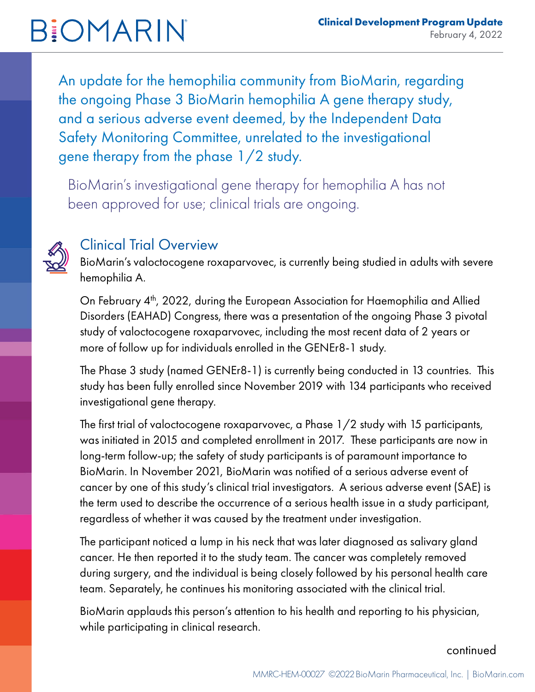#### **Clinical Development Program Update** February 4, 2022

# **BIOMARIN**

An update for the hemophilia community from BioMarin, regarding the ongoing Phase 3 BioMarin hemophilia A gene therapy study, and a serious adverse event deemed, by the Independent Data Safety Monitoring Committee, unrelated to the investigational gene therapy from the phase 1/2 study.

BioMarin's investigational gene therapy for hemophilia A has not been approved for use; clinical trials are ongoing.



### Clinical Trial Overview

BioMarin's valoctocogene roxaparvovec, is currently being studied in adults with severe hemophilia A.

On February 4<sup>th</sup>, 2022, during the European Association for Haemophilia and Allied Disorders (EAHAD) Congress, there was a presentation of the ongoing Phase 3 pivotal study of valoctocogene roxaparvovec, including the most recent data of 2 years or more of follow up for individuals enrolled in the GENEr8-1 study.

The Phase 3 study (named GENEr8-1) is currently being conducted in 13 countries. This study has been fully enrolled since November 2019 with 134 participants who received investigational gene therapy.

The first trial of valoctocogene roxaparvovec, a Phase 1/2 study with 15 participants, was initiated in 2015 and completed enrollment in 2017. These participants are now in long-term follow-up; the safety of study participants is of paramount importance to BioMarin. In November 2021, BioMarin was notified of a serious adverse event of cancer by one of this study's clinical trial investigators. A serious adverse event (SAE) is the term used to describe the occurrence of a serious health issue in a study participant, regardless of whether it was caused by the treatment under investigation.

The participant noticed a lump in his neck that was later diagnosed as salivary gland cancer. He then reported it to the study team. The cancer was completely removed during surgery, and the individual is being closely followed by his personal health care team. Separately, he continues his monitoring associated with the clinical trial.

BioMarin applauds this person's attention to his health and reporting to his physician, while participating in clinical research.

#### continued